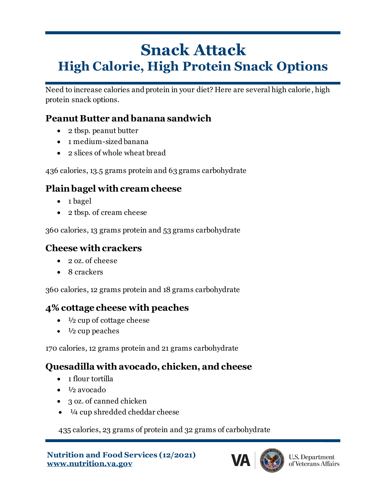# **Snack Attack High Calorie, High Protein Snack Options**

Need to increase calories and protein in your diet? Here are several high calorie , high protein snack options.

#### **Peanut Butter and banana sandwich**

- 2 tbsp. peanut butter
- 1 medium-sized banana
- 2 slices of whole wheat bread

436 calories, 13.5 grams protein and 63 grams carbohydrate

# **Plain bagel with cream cheese**

- 1 bagel
- 2 tbsp. of cream cheese

360 calories, 13 grams protein and 53 grams carbohydrate

#### **Cheese with crackers**

- 2 oz. of cheese
- 8 crackers

360 calories, 12 grams protein and 18 grams carbohydrate

# **4% cottage cheese with peaches**

- $\bullet$   $\frac{1}{2}$  cup of cottage cheese
- $\bullet$   $\frac{1}{2}$  cup peaches

170 calories, 12 grams protein and 21 grams carbohydrate

# **Quesadilla with avocado, chicken, and cheese**

- 1 flour tortilla
- $\bullet$   $\frac{1}{2}$  avocado
- 3 oz. of canned chicken
- $\bullet$   $\frac{1}{4}$  cup shredded cheddar cheese

435 calories, 23 grams of protein and 32 grams of carbohydrate

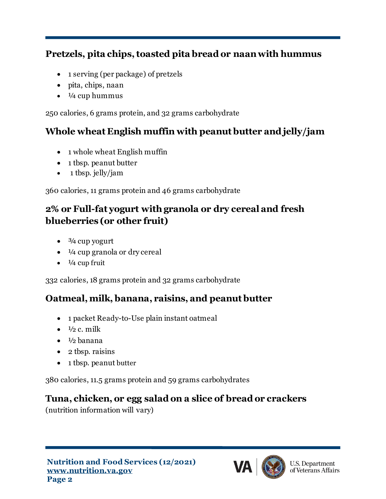#### **Pretzels, pita chips, toasted pita bread or naan with hummus**

- 1 serving (per package) of pretzels
- pita, chips, naan
- $\cdot$   $\frac{1}{4}$  cup hummus

250 calories, 6 grams protein, and 32 grams carbohydrate

### **Whole wheat English muffin with peanut butter and jelly/jam**

- 1 whole wheat English muffin
- 1 tbsp. peanut butter
- 1 tbsp. jelly/jam

360 calories, 11 grams protein and 46 grams carbohydrate

# **2% or Full-fat yogurt withgranola or dry cereal and fresh blueberries (or other fruit)**

- $\bullet$   $\frac{3}{4}$  cup yogurt
- $\bullet$   $\frac{1}{4}$  cup granola or dry cereal
- $\bullet$   $\frac{1}{4}$  cup fruit

332 calories, 18 grams protein and 32 grams carbohydrate

# **Oatmeal, milk, banana, raisins, and peanut butter**

- 1 packet Ready-to-Use plain instant oatmeal
- $\bullet$   $\frac{1}{2}$  c. milk
- $\bullet$   $\frac{1}{2}$  banana
- 2 tbsp. raisins
- 1 tbsp. peanut butter

380 calories, 11.5 grams protein and 59 grams carbohydrates

# **Tuna, chicken, or egg salad on a slice of bread or crackers**

(nutrition information will vary)



**U.S. Department** of Veterans Affairs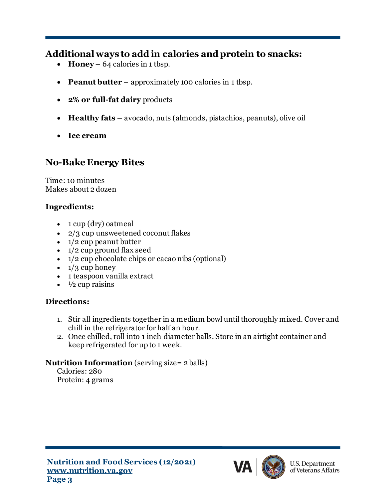#### **Additional ways to add in calories and protein to snacks:**

- **Honey** 64 calories in 1 tbsp.
- **Peanut butter** approximately 100 calories in 1 tbsp.
- **2% or full-fat dairy** products
- **Healthy fats** avocado, nuts (almonds, pistachios, peanuts), olive oil
- **Ice cream**

#### **No-Bake Energy Bites**

Time: 10 minutes Makes about 2 dozen

#### **Ingredients:**

- 1 cup (dry) oatmeal
- 2/3 cup unsweetened coconut flakes
- $\bullet$  1/2 cup peanut butter
- $\bullet$  1/2 cup ground [flax seed](http://rstyle.me/~37YjS)
- $\bullet$  1/2 cup chocolate chips or cacao nibs (optional)
- $\bullet$  1/3 cup honey
- 1 teaspoon [vanilla extract](http://rstyle.me/~37YqE)
- $\cdot$   $\frac{1}{2}$  cup raisins

#### **Directions:**

- 1. Stir all ingredients together in a medium bowl until thoroughly mixed. Cover and chill in the refrigerator for half an hour.
- 2. Once chilled, roll into 1 inch diameter balls. Store in an airtight container and keep refrigerated for up to 1 week.

#### **Nutrition Information** (serving size= 2 balls)

Calories: 280 Protein: 4 grams



**U.S. Department** of Veterans Affairs